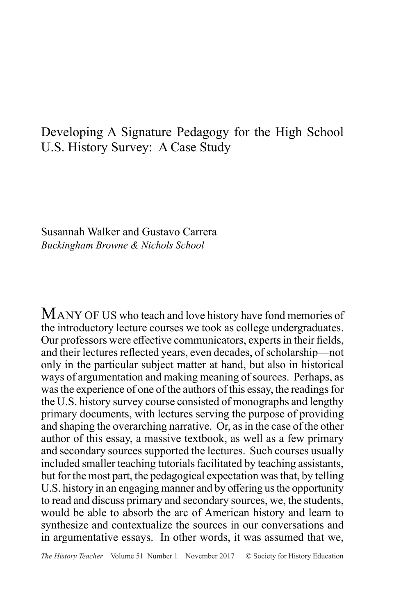# Developing A Signature Pedagogy for the High School U.S. History Survey: A Case Study

Susannah Walker and Gustavo Carrera *Buckingham Browne & Nichols School*

MANY OF US who teach and love history have fond memories of the introductory lecture courses we took as college undergraduates. Our professors were effective communicators, experts in their fields, and their lectures reflected years, even decades, of scholarship—not only in the particular subject matter at hand, but also in historical ways of argumentation and making meaning of sources. Perhaps, as was the experience of one of the authors of this essay, the readings for the U.S. history survey course consisted of monographs and lengthy primary documents, with lectures serving the purpose of providing and shaping the overarching narrative. Or, as in the case of the other author of this essay, a massive textbook, as well as a few primary and secondary sources supported the lectures. Such courses usually included smaller teaching tutorials facilitated by teaching assistants, but for the most part, the pedagogical expectation was that, by telling U.S. history in an engaging manner and by offering us the opportunity to read and discuss primary and secondary sources, we, the students, would be able to absorb the arc of American history and learn to synthesize and contextualize the sources in our conversations and in argumentative essays. In other words, it was assumed that we,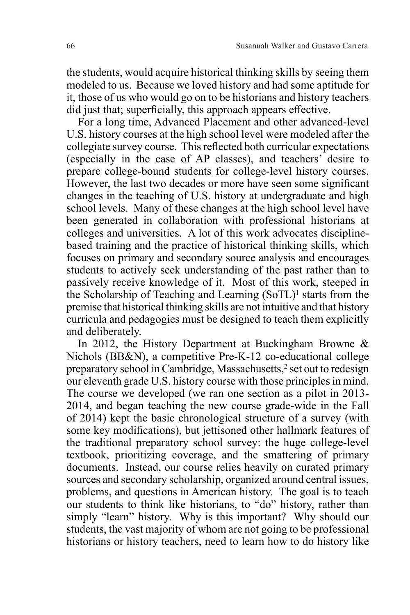the students, would acquire historical thinking skills by seeing them modeled to us. Because we loved history and had some aptitude for it, those of us who would go on to be historians and history teachers did just that; superficially, this approach appears effective.

For a long time, Advanced Placement and other advanced-level U.S. history courses at the high school level were modeled after the collegiate survey course. This reflected both curricular expectations (especially in the case of AP classes), and teachers' desire to prepare college-bound students for college-level history courses. However, the last two decades or more have seen some significant changes in the teaching of U.S. history at undergraduate and high school levels. Many of these changes at the high school level have been generated in collaboration with professional historians at colleges and universities. A lot of this work advocates disciplinebased training and the practice of historical thinking skills, which focuses on primary and secondary source analysis and encourages students to actively seek understanding of the past rather than to passively receive knowledge of it. Most of this work, steeped in the Scholarship of Teaching and Learning (SoTL)<sup>1</sup> starts from the premise that historical thinking skills are not intuitive and that history curricula and pedagogies must be designed to teach them explicitly and deliberately.

In 2012, the History Department at Buckingham Browne & Nichols (BB&N), a competitive Pre-K-12 co-educational college preparatory school in Cambridge, Massachusetts,<sup>2</sup> set out to redesign our eleventh grade U.S. history course with those principles in mind. The course we developed (we ran one section as a pilot in 2013- 2014, and began teaching the new course grade-wide in the Fall of 2014) kept the basic chronological structure of a survey (with some key modifications), but jettisoned other hallmark features of the traditional preparatory school survey: the huge college-level textbook, prioritizing coverage, and the smattering of primary documents. Instead, our course relies heavily on curated primary sources and secondary scholarship, organized around central issues, problems, and questions in American history. The goal is to teach our students to think like historians, to "do" history, rather than simply "learn" history. Why is this important? Why should our students, the vast majority of whom are not going to be professional historians or history teachers, need to learn how to do history like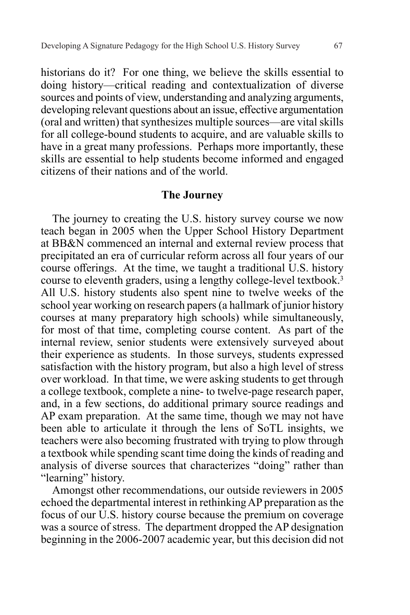historians do it? For one thing, we believe the skills essential to doing history—critical reading and contextualization of diverse sources and points of view, understanding and analyzing arguments, developing relevant questions about an issue, effective argumentation (oral and written) that synthesizes multiple sources—are vital skills for all college-bound students to acquire, and are valuable skills to have in a great many professions. Perhaps more importantly, these skills are essential to help students become informed and engaged citizens of their nations and of the world.

#### **The Journey**

The journey to creating the U.S. history survey course we now teach began in 2005 when the Upper School History Department at BB&N commenced an internal and external review process that precipitated an era of curricular reform across all four years of our course offerings. At the time, we taught a traditional U.S. history course to eleventh graders, using a lengthy college-level textbook.<sup>3</sup> All U.S. history students also spent nine to twelve weeks of the school year working on research papers (a hallmark of junior history courses at many preparatory high schools) while simultaneously, for most of that time, completing course content. As part of the internal review, senior students were extensively surveyed about their experience as students. In those surveys, students expressed satisfaction with the history program, but also a high level of stress over workload. In that time, we were asking students to get through a college textbook, complete a nine- to twelve-page research paper, and, in a few sections, do additional primary source readings and AP exam preparation. At the same time, though we may not have been able to articulate it through the lens of SoTL insights, we teachers were also becoming frustrated with trying to plow through a textbook while spending scant time doing the kinds of reading and analysis of diverse sources that characterizes "doing" rather than "learning" history.

Amongst other recommendations, our outside reviewers in 2005 echoed the departmental interest in rethinking AP preparation as the focus of our U.S. history course because the premium on coverage was a source of stress. The department dropped the AP designation beginning in the 2006-2007 academic year, but this decision did not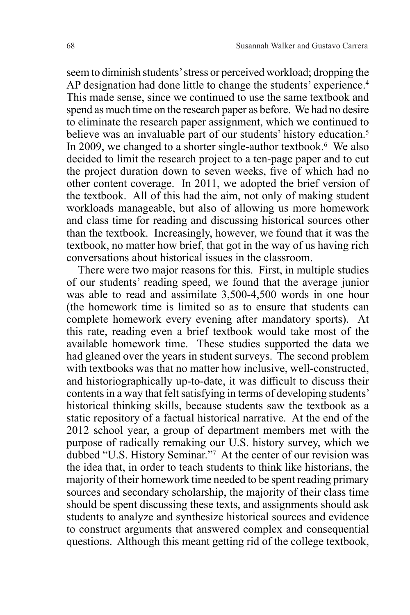seem to diminish students' stress or perceived workload; dropping the AP designation had done little to change the students' experience.<sup>4</sup> This made sense, since we continued to use the same textbook and spend as much time on the research paper as before. We had no desire to eliminate the research paper assignment, which we continued to believe was an invaluable part of our students' history education.<sup>5</sup> In 2009, we changed to a shorter single-author textbook.<sup>6</sup> We also decided to limit the research project to a ten-page paper and to cut the project duration down to seven weeks, five of which had no other content coverage. In 2011, we adopted the brief version of the textbook. All of this had the aim, not only of making student workloads manageable, but also of allowing us more homework and class time for reading and discussing historical sources other than the textbook. Increasingly, however, we found that it was the textbook, no matter how brief, that got in the way of us having rich conversations about historical issues in the classroom.

There were two major reasons for this. First, in multiple studies of our students' reading speed, we found that the average junior was able to read and assimilate 3,500-4,500 words in one hour (the homework time is limited so as to ensure that students can complete homework every evening after mandatory sports). At this rate, reading even a brief textbook would take most of the available homework time. These studies supported the data we had gleaned over the years in student surveys. The second problem with textbooks was that no matter how inclusive, well-constructed, and historiographically up-to-date, it was difficult to discuss their contents in a way that felt satisfying in terms of developing students' historical thinking skills, because students saw the textbook as a static repository of a factual historical narrative. At the end of the 2012 school year, a group of department members met with the purpose of radically remaking our U.S. history survey, which we dubbed "U.S. History Seminar."7 At the center of our revision was the idea that, in order to teach students to think like historians, the majority of their homework time needed to be spent reading primary sources and secondary scholarship, the majority of their class time should be spent discussing these texts, and assignments should ask students to analyze and synthesize historical sources and evidence to construct arguments that answered complex and consequential questions. Although this meant getting rid of the college textbook,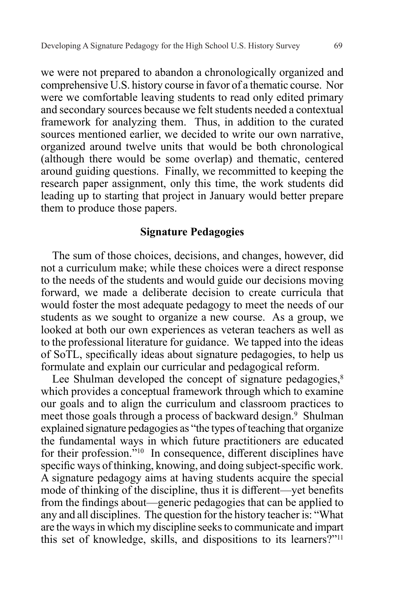we were not prepared to abandon a chronologically organized and comprehensive U.S. history course in favor of a thematic course. Nor were we comfortable leaving students to read only edited primary and secondary sources because we felt students needed a contextual framework for analyzing them. Thus, in addition to the curated sources mentioned earlier, we decided to write our own narrative, organized around twelve units that would be both chronological (although there would be some overlap) and thematic, centered around guiding questions. Finally, we recommitted to keeping the research paper assignment, only this time, the work students did leading up to starting that project in January would better prepare them to produce those papers.

# **Signature Pedagogies**

The sum of those choices, decisions, and changes, however, did not a curriculum make; while these choices were a direct response to the needs of the students and would guide our decisions moving forward, we made a deliberate decision to create curricula that would foster the most adequate pedagogy to meet the needs of our students as we sought to organize a new course. As a group, we looked at both our own experiences as veteran teachers as well as to the professional literature for guidance. We tapped into the ideas of SoTL, specifically ideas about signature pedagogies, to help us formulate and explain our curricular and pedagogical reform.

Lee Shulman developed the concept of signature pedagogies, $8$ which provides a conceptual framework through which to examine our goals and to align the curriculum and classroom practices to meet those goals through a process of backward design.<sup>9</sup> Shulman explained signature pedagogies as "the types of teaching that organize the fundamental ways in which future practitioners are educated for their profession."10 In consequence, different disciplines have specific ways of thinking, knowing, and doing subject-specific work. A signature pedagogy aims at having students acquire the special mode of thinking of the discipline, thus it is different—yet benefits from the findings about—generic pedagogies that can be applied to any and all disciplines. The question for the history teacher is: "What are the ways in which my discipline seeks to communicate and impart this set of knowledge, skills, and dispositions to its learners?"11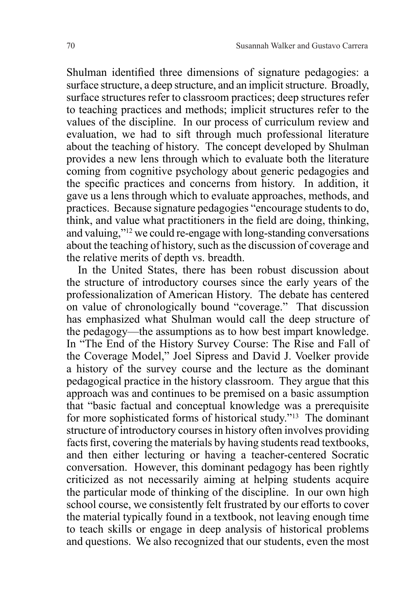Shulman identified three dimensions of signature pedagogies: a surface structure, a deep structure, and an implicit structure. Broadly, surface structures refer to classroom practices; deep structures refer to teaching practices and methods; implicit structures refer to the values of the discipline. In our process of curriculum review and evaluation, we had to sift through much professional literature about the teaching of history. The concept developed by Shulman provides a new lens through which to evaluate both the literature coming from cognitive psychology about generic pedagogies and the specific practices and concerns from history. In addition, it gave us a lens through which to evaluate approaches, methods, and practices. Because signature pedagogies "encourage students to do, think, and value what practitioners in the field are doing, thinking, and valuing,"12 we could re-engage with long-standing conversations about the teaching of history, such as the discussion of coverage and the relative merits of depth vs. breadth.

In the United States, there has been robust discussion about the structure of introductory courses since the early years of the professionalization of American History. The debate has centered on value of chronologically bound "coverage." That discussion has emphasized what Shulman would call the deep structure of the pedagogy—the assumptions as to how best impart knowledge. In "The End of the History Survey Course: The Rise and Fall of the Coverage Model," Joel Sipress and David J. Voelker provide a history of the survey course and the lecture as the dominant pedagogical practice in the history classroom. They argue that this approach was and continues to be premised on a basic assumption that "basic factual and conceptual knowledge was a prerequisite for more sophisticated forms of historical study."13 The dominant structure of introductory courses in history often involves providing facts first, covering the materials by having students read textbooks, and then either lecturing or having a teacher-centered Socratic conversation. However, this dominant pedagogy has been rightly criticized as not necessarily aiming at helping students acquire the particular mode of thinking of the discipline. In our own high school course, we consistently felt frustrated by our efforts to cover the material typically found in a textbook, not leaving enough time to teach skills or engage in deep analysis of historical problems and questions. We also recognized that our students, even the most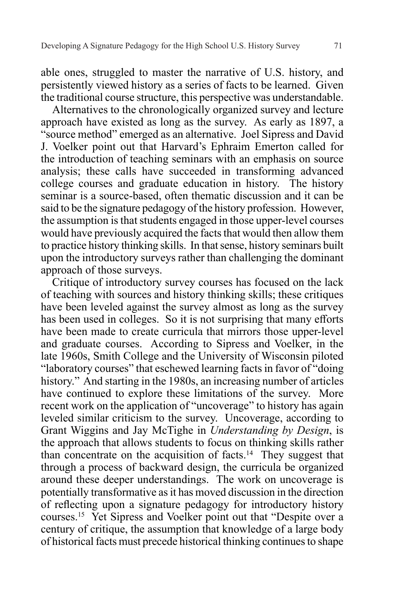able ones, struggled to master the narrative of U.S. history, and persistently viewed history as a series of facts to be learned. Given the traditional course structure, this perspective was understandable.

Alternatives to the chronologically organized survey and lecture approach have existed as long as the survey. As early as 1897, a "source method" emerged as an alternative. Joel Sipress and David J. Voelker point out that Harvard's Ephraim Emerton called for the introduction of teaching seminars with an emphasis on source analysis; these calls have succeeded in transforming advanced college courses and graduate education in history. The history seminar is a source-based, often thematic discussion and it can be said to be the signature pedagogy of the history profession. However, the assumption is that students engaged in those upper-level courses would have previously acquired the facts that would then allow them to practice history thinking skills. In that sense, history seminars built upon the introductory surveys rather than challenging the dominant approach of those surveys.

Critique of introductory survey courses has focused on the lack of teaching with sources and history thinking skills; these critiques have been leveled against the survey almost as long as the survey has been used in colleges. So it is not surprising that many efforts have been made to create curricula that mirrors those upper-level and graduate courses. According to Sipress and Voelker, in the late 1960s, Smith College and the University of Wisconsin piloted "laboratory courses" that eschewed learning facts in favor of "doing history." And starting in the 1980s, an increasing number of articles have continued to explore these limitations of the survey. More recent work on the application of "uncoverage" to history has again leveled similar criticism to the survey. Uncoverage, according to Grant Wiggins and Jay McTighe in *Understanding by Design*, is the approach that allows students to focus on thinking skills rather than concentrate on the acquisition of facts.<sup>14</sup> They suggest that through a process of backward design, the curricula be organized around these deeper understandings. The work on uncoverage is potentially transformative as it has moved discussion in the direction of reflecting upon a signature pedagogy for introductory history courses.15 Yet Sipress and Voelker point out that "Despite over a century of critique, the assumption that knowledge of a large body of historical facts must precede historical thinking continues to shape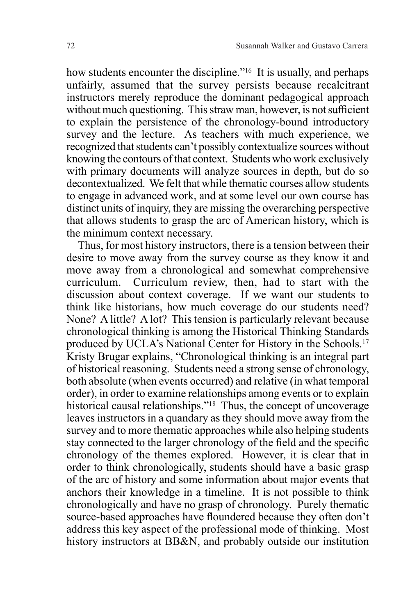how students encounter the discipline."<sup>16</sup> It is usually, and perhaps unfairly, assumed that the survey persists because recalcitrant instructors merely reproduce the dominant pedagogical approach without much questioning. This straw man, however, is not sufficient to explain the persistence of the chronology-bound introductory survey and the lecture. As teachers with much experience, we recognized that students can't possibly contextualize sources without knowing the contours of that context. Students who work exclusively with primary documents will analyze sources in depth, but do so decontextualized. We felt that while thematic courses allow students to engage in advanced work, and at some level our own course has distinct units of inquiry, they are missing the overarching perspective that allows students to grasp the arc of American history, which is the minimum context necessary.

Thus, for most history instructors, there is a tension between their desire to move away from the survey course as they know it and move away from a chronological and somewhat comprehensive curriculum. Curriculum review, then, had to start with the discussion about context coverage. If we want our students to think like historians, how much coverage do our students need? None? A little? A lot? This tension is particularly relevant because chronological thinking is among the Historical Thinking Standards produced by UCLA's National Center for History in the Schools.<sup>17</sup> Kristy Brugar explains, "Chronological thinking is an integral part of historical reasoning. Students need a strong sense of chronology, both absolute (when events occurred) and relative (in what temporal order), in order to examine relationships among events or to explain historical causal relationships."<sup>18</sup> Thus, the concept of uncoverage leaves instructors in a quandary as they should move away from the survey and to more thematic approaches while also helping students stay connected to the larger chronology of the field and the specific chronology of the themes explored. However, it is clear that in order to think chronologically, students should have a basic grasp of the arc of history and some information about major events that anchors their knowledge in a timeline. It is not possible to think chronologically and have no grasp of chronology. Purely thematic source-based approaches have floundered because they often don't address this key aspect of the professional mode of thinking. Most history instructors at BB&N, and probably outside our institution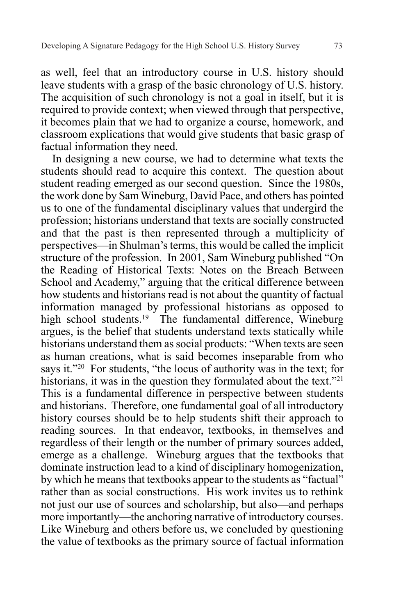as well, feel that an introductory course in U.S. history should leave students with a grasp of the basic chronology of U.S. history. The acquisition of such chronology is not a goal in itself, but it is required to provide context; when viewed through that perspective, it becomes plain that we had to organize a course, homework, and classroom explications that would give students that basic grasp of factual information they need.

In designing a new course, we had to determine what texts the students should read to acquire this context. The question about student reading emerged as our second question. Since the 1980s, the work done by Sam Wineburg, David Pace, and others has pointed us to one of the fundamental disciplinary values that undergird the profession; historians understand that texts are socially constructed and that the past is then represented through a multiplicity of perspectives—in Shulman's terms, this would be called the implicit structure of the profession. In 2001, Sam Wineburg published "On the Reading of Historical Texts: Notes on the Breach Between School and Academy," arguing that the critical difference between how students and historians read is not about the quantity of factual information managed by professional historians as opposed to high school students.<sup>19</sup> The fundamental difference, Wineburg argues, is the belief that students understand texts statically while historians understand them as social products: "When texts are seen as human creations, what is said becomes inseparable from who says it."20 For students, "the locus of authority was in the text; for historians, it was in the question they formulated about the text."<sup>21</sup> This is a fundamental difference in perspective between students and historians. Therefore, one fundamental goal of all introductory history courses should be to help students shift their approach to reading sources. In that endeavor, textbooks, in themselves and regardless of their length or the number of primary sources added, emerge as a challenge. Wineburg argues that the textbooks that dominate instruction lead to a kind of disciplinary homogenization, by which he means that textbooks appear to the students as "factual" rather than as social constructions. His work invites us to rethink not just our use of sources and scholarship, but also—and perhaps more importantly—the anchoring narrative of introductory courses. Like Wineburg and others before us, we concluded by questioning the value of textbooks as the primary source of factual information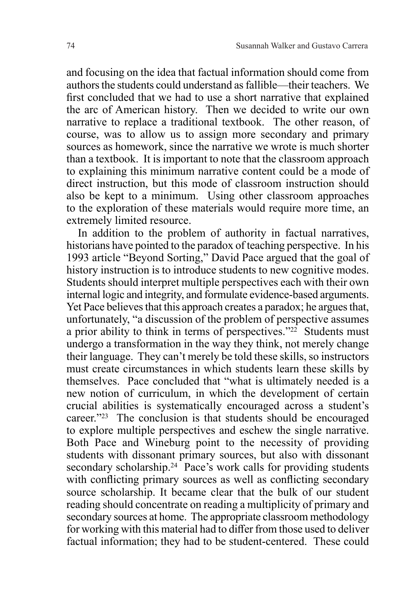and focusing on the idea that factual information should come from authors the students could understand as fallible—their teachers. We first concluded that we had to use a short narrative that explained the arc of American history. Then we decided to write our own narrative to replace a traditional textbook. The other reason, of course, was to allow us to assign more secondary and primary sources as homework, since the narrative we wrote is much shorter than a textbook. It is important to note that the classroom approach to explaining this minimum narrative content could be a mode of direct instruction, but this mode of classroom instruction should also be kept to a minimum. Using other classroom approaches to the exploration of these materials would require more time, an extremely limited resource.

In addition to the problem of authority in factual narratives, historians have pointed to the paradox of teaching perspective. In his 1993 article "Beyond Sorting," David Pace argued that the goal of history instruction is to introduce students to new cognitive modes. Students should interpret multiple perspectives each with their own internal logic and integrity, and formulate evidence-based arguments. Yet Pace believes that this approach creates a paradox; he argues that, unfortunately, "a discussion of the problem of perspective assumes a prior ability to think in terms of perspectives."22 Students must undergo a transformation in the way they think, not merely change their language. They can't merely be told these skills, so instructors must create circumstances in which students learn these skills by themselves. Pace concluded that "what is ultimately needed is a new notion of curriculum, in which the development of certain crucial abilities is systematically encouraged across a student's career."23 The conclusion is that students should be encouraged to explore multiple perspectives and eschew the single narrative. Both Pace and Wineburg point to the necessity of providing students with dissonant primary sources, but also with dissonant secondary scholarship.<sup>24</sup> Pace's work calls for providing students with conflicting primary sources as well as conflicting secondary source scholarship. It became clear that the bulk of our student reading should concentrate on reading a multiplicity of primary and secondary sources at home. The appropriate classroom methodology for working with this material had to differ from those used to deliver factual information; they had to be student-centered. These could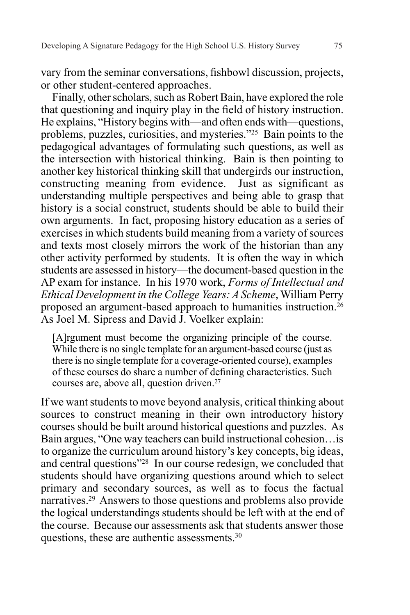vary from the seminar conversations, fishbowl discussion, projects, or other student-centered approaches.

Finally, other scholars, such as Robert Bain, have explored the role that questioning and inquiry play in the field of history instruction. He explains, "History begins with—and often ends with—questions, problems, puzzles, curiosities, and mysteries."25 Bain points to the pedagogical advantages of formulating such questions, as well as the intersection with historical thinking. Bain is then pointing to another key historical thinking skill that undergirds our instruction, constructing meaning from evidence. Just as significant as understanding multiple perspectives and being able to grasp that history is a social construct, students should be able to build their own arguments. In fact, proposing history education as a series of exercises in which students build meaning from a variety of sources and texts most closely mirrors the work of the historian than any other activity performed by students. It is often the way in which students are assessed in history—the document-based question in the AP exam for instance. In his 1970 work, *Forms of Intellectual and Ethical Development in the College Years: A Scheme*, William Perry proposed an argument-based approach to humanities instruction.<sup>26</sup> As Joel M. Sipress and David J. Voelker explain:

[A]rgument must become the organizing principle of the course. While there is no single template for an argument-based course (just as there is no single template for a coverage-oriented course), examples of these courses do share a number of defining characteristics. Such courses are, above all, question driven.<sup>27</sup>

If we want students to move beyond analysis, critical thinking about sources to construct meaning in their own introductory history courses should be built around historical questions and puzzles. As Bain argues, "One way teachers can build instructional cohesion…is to organize the curriculum around history's key concepts, big ideas, and central questions"28 In our course redesign, we concluded that students should have organizing questions around which to select primary and secondary sources, as well as to focus the factual narratives.29 Answers to those questions and problems also provide the logical understandings students should be left with at the end of the course. Because our assessments ask that students answer those questions, these are authentic assessments.30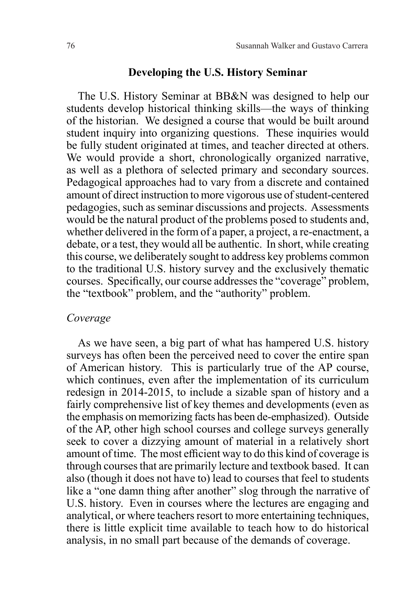### **Developing the U.S. History Seminar**

The U.S. History Seminar at BB&N was designed to help our students develop historical thinking skills—the ways of thinking of the historian. We designed a course that would be built around student inquiry into organizing questions. These inquiries would be fully student originated at times, and teacher directed at others. We would provide a short, chronologically organized narrative, as well as a plethora of selected primary and secondary sources. Pedagogical approaches had to vary from a discrete and contained amount of direct instruction to more vigorous use of student-centered pedagogies, such as seminar discussions and projects. Assessments would be the natural product of the problems posed to students and, whether delivered in the form of a paper, a project, a re-enactment, a debate, or a test, they would all be authentic. In short, while creating this course, we deliberately sought to address key problems common to the traditional U.S. history survey and the exclusively thematic courses. Specifically, our course addresses the "coverage" problem, the "textbook" problem, and the "authority" problem.

#### *Coverage*

As we have seen, a big part of what has hampered U.S. history surveys has often been the perceived need to cover the entire span of American history. This is particularly true of the AP course, which continues, even after the implementation of its curriculum redesign in 2014-2015, to include a sizable span of history and a fairly comprehensive list of key themes and developments (even as the emphasis on memorizing facts has been de-emphasized). Outside of the AP, other high school courses and college surveys generally seek to cover a dizzying amount of material in a relatively short amount of time. The most efficient way to do this kind of coverage is through courses that are primarily lecture and textbook based. It can also (though it does not have to) lead to courses that feel to students like a "one damn thing after another" slog through the narrative of U.S. history. Even in courses where the lectures are engaging and analytical, or where teachers resort to more entertaining techniques, there is little explicit time available to teach how to do historical analysis, in no small part because of the demands of coverage.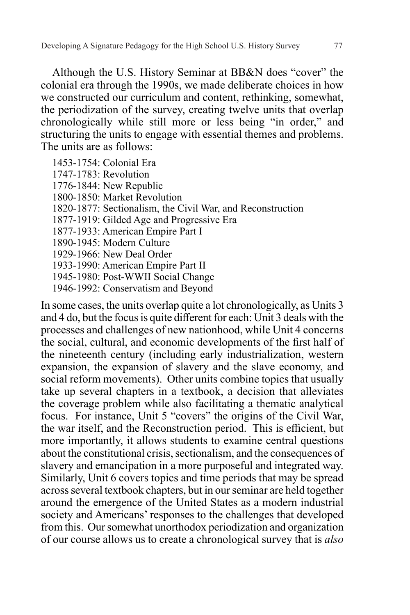Although the U.S. History Seminar at BB&N does "cover" the colonial era through the 1990s, we made deliberate choices in how we constructed our curriculum and content, rethinking, somewhat, the periodization of the survey, creating twelve units that overlap chronologically while still more or less being "in order," and structuring the units to engage with essential themes and problems. The units are as follows:

1453-1754: Colonial Era 1747-1783: Revolution 1776-1844: New Republic 1800-1850: Market Revolution 1820-1877: Sectionalism, the Civil War, and Reconstruction 1877-1919: Gilded Age and Progressive Era 1877-1933: American Empire Part I 1890-1945: Modern Culture 1929-1966: New Deal Order 1933-1990: American Empire Part II 1945-1980: Post-WWII Social Change 1946-1992: Conservatism and Beyond

In some cases, the units overlap quite a lot chronologically, as Units 3 and 4 do, but the focus is quite different for each: Unit 3 deals with the processes and challenges of new nationhood, while Unit 4 concerns the social, cultural, and economic developments of the first half of the nineteenth century (including early industrialization, western expansion, the expansion of slavery and the slave economy, and social reform movements). Other units combine topics that usually take up several chapters in a textbook, a decision that alleviates the coverage problem while also facilitating a thematic analytical focus. For instance, Unit 5 "covers" the origins of the Civil War, the war itself, and the Reconstruction period. This is efficient, but more importantly, it allows students to examine central questions about the constitutional crisis, sectionalism, and the consequences of slavery and emancipation in a more purposeful and integrated way. Similarly, Unit 6 covers topics and time periods that may be spread across several textbook chapters, but in our seminar are held together around the emergence of the United States as a modern industrial society and Americans' responses to the challenges that developed from this. Our somewhat unorthodox periodization and organization of our course allows us to create a chronological survey that is *also*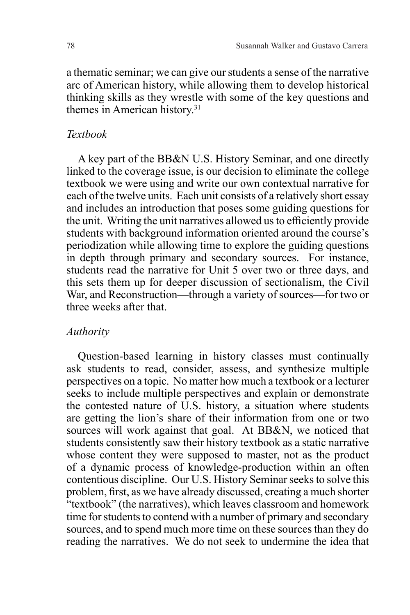a thematic seminar; we can give our students a sense of the narrative arc of American history, while allowing them to develop historical thinking skills as they wrestle with some of the key questions and themes in American history.31

# *Textbook*

A key part of the BB&N U.S. History Seminar, and one directly linked to the coverage issue, is our decision to eliminate the college textbook we were using and write our own contextual narrative for each of the twelve units. Each unit consists of a relatively short essay and includes an introduction that poses some guiding questions for the unit. Writing the unit narratives allowed us to efficiently provide students with background information oriented around the course's periodization while allowing time to explore the guiding questions in depth through primary and secondary sources. For instance, students read the narrative for Unit 5 over two or three days, and this sets them up for deeper discussion of sectionalism, the Civil War, and Reconstruction—through a variety of sources—for two or three weeks after that.

#### *Authority*

Question-based learning in history classes must continually ask students to read, consider, assess, and synthesize multiple perspectives on a topic. No matter how much a textbook or a lecturer seeks to include multiple perspectives and explain or demonstrate the contested nature of U.S. history, a situation where students are getting the lion's share of their information from one or two sources will work against that goal. At BB&N, we noticed that students consistently saw their history textbook as a static narrative whose content they were supposed to master, not as the product of a dynamic process of knowledge-production within an often contentious discipline. Our U.S. History Seminar seeks to solve this problem, first, as we have already discussed, creating a much shorter "textbook" (the narratives), which leaves classroom and homework time for students to contend with a number of primary and secondary sources, and to spend much more time on these sources than they do reading the narratives. We do not seek to undermine the idea that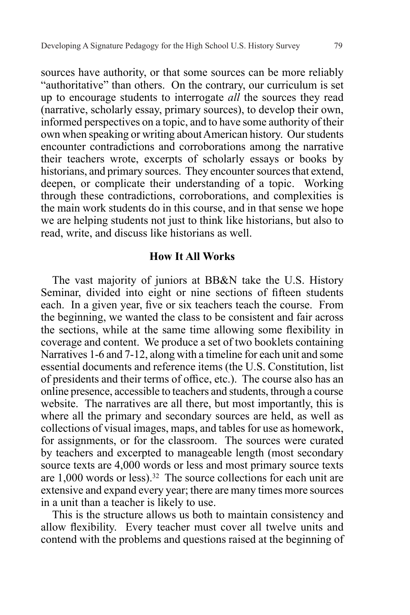sources have authority, or that some sources can be more reliably "authoritative" than others. On the contrary, our curriculum is set up to encourage students to interrogate *all* the sources they read (narrative, scholarly essay, primary sources), to develop their own, informed perspectives on a topic, and to have some authority of their own when speaking or writing about American history. Our students encounter contradictions and corroborations among the narrative their teachers wrote, excerpts of scholarly essays or books by historians, and primary sources. They encounter sources that extend, deepen, or complicate their understanding of a topic. Working through these contradictions, corroborations, and complexities is the main work students do in this course, and in that sense we hope we are helping students not just to think like historians, but also to read, write, and discuss like historians as well.

# **How It All Works**

The vast majority of juniors at BB&N take the U.S. History Seminar, divided into eight or nine sections of fifteen students each. In a given year, five or six teachers teach the course. From the beginning, we wanted the class to be consistent and fair across the sections, while at the same time allowing some flexibility in coverage and content. We produce a set of two booklets containing Narratives 1-6 and 7-12, along with a timeline for each unit and some essential documents and reference items (the U.S. Constitution, list of presidents and their terms of office, etc.). The course also has an online presence, accessible to teachers and students, through a course website. The narratives are all there, but most importantly, this is where all the primary and secondary sources are held, as well as collections of visual images, maps, and tables for use as homework, for assignments, or for the classroom. The sources were curated by teachers and excerpted to manageable length (most secondary source texts are 4,000 words or less and most primary source texts are  $1,000$  words or less).<sup>32</sup> The source collections for each unit are extensive and expand every year; there are many times more sources in a unit than a teacher is likely to use.

This is the structure allows us both to maintain consistency and allow flexibility. Every teacher must cover all twelve units and contend with the problems and questions raised at the beginning of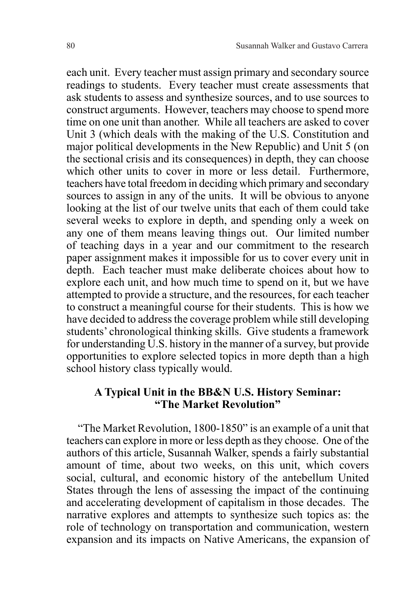each unit. Every teacher must assign primary and secondary source readings to students. Every teacher must create assessments that ask students to assess and synthesize sources, and to use sources to construct arguments. However, teachers may choose to spend more time on one unit than another. While all teachers are asked to cover Unit 3 (which deals with the making of the U.S. Constitution and major political developments in the New Republic) and Unit 5 (on the sectional crisis and its consequences) in depth, they can choose which other units to cover in more or less detail. Furthermore, teachers have total freedom in deciding which primary and secondary sources to assign in any of the units. It will be obvious to anyone looking at the list of our twelve units that each of them could take several weeks to explore in depth, and spending only a week on any one of them means leaving things out. Our limited number of teaching days in a year and our commitment to the research paper assignment makes it impossible for us to cover every unit in depth. Each teacher must make deliberate choices about how to explore each unit, and how much time to spend on it, but we have attempted to provide a structure, and the resources, for each teacher to construct a meaningful course for their students. This is how we have decided to address the coverage problem while still developing students' chronological thinking skills. Give students a framework for understanding U.S. history in the manner of a survey, but provide opportunities to explore selected topics in more depth than a high school history class typically would.

# **A Typical Unit in the BB&N U.S. History Seminar: "The Market Revolution"**

"The Market Revolution, 1800-1850" is an example of a unit that teachers can explore in more or less depth as they choose. One of the authors of this article, Susannah Walker, spends a fairly substantial amount of time, about two weeks, on this unit, which covers social, cultural, and economic history of the antebellum United States through the lens of assessing the impact of the continuing and accelerating development of capitalism in those decades. The narrative explores and attempts to synthesize such topics as: the role of technology on transportation and communication, western expansion and its impacts on Native Americans, the expansion of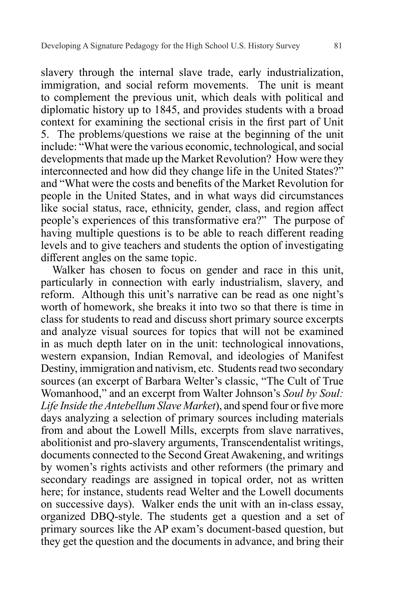slavery through the internal slave trade, early industrialization, immigration, and social reform movements. The unit is meant to complement the previous unit, which deals with political and diplomatic history up to 1845, and provides students with a broad context for examining the sectional crisis in the first part of Unit 5. The problems/questions we raise at the beginning of the unit include: "What were the various economic, technological, and social developments that made up the Market Revolution? How were they interconnected and how did they change life in the United States?" and "What were the costs and benefits of the Market Revolution for people in the United States, and in what ways did circumstances like social status, race, ethnicity, gender, class, and region affect people's experiences of this transformative era?" The purpose of having multiple questions is to be able to reach different reading levels and to give teachers and students the option of investigating different angles on the same topic.

Walker has chosen to focus on gender and race in this unit, particularly in connection with early industrialism, slavery, and reform. Although this unit's narrative can be read as one night's worth of homework, she breaks it into two so that there is time in class for students to read and discuss short primary source excerpts and analyze visual sources for topics that will not be examined in as much depth later on in the unit: technological innovations, western expansion, Indian Removal, and ideologies of Manifest Destiny, immigration and nativism, etc. Students read two secondary sources (an excerpt of Barbara Welter's classic, "The Cult of True Womanhood," and an excerpt from Walter Johnson's *Soul by Soul: Life Inside the Antebellum Slave Market*), and spend four or five more days analyzing a selection of primary sources including materials from and about the Lowell Mills, excerpts from slave narratives, abolitionist and pro-slavery arguments, Transcendentalist writings, documents connected to the Second Great Awakening, and writings by women's rights activists and other reformers (the primary and secondary readings are assigned in topical order, not as written here; for instance, students read Welter and the Lowell documents on successive days). Walker ends the unit with an in-class essay, organized DBQ-style. The students get a question and a set of primary sources like the AP exam's document-based question, but they get the question and the documents in advance, and bring their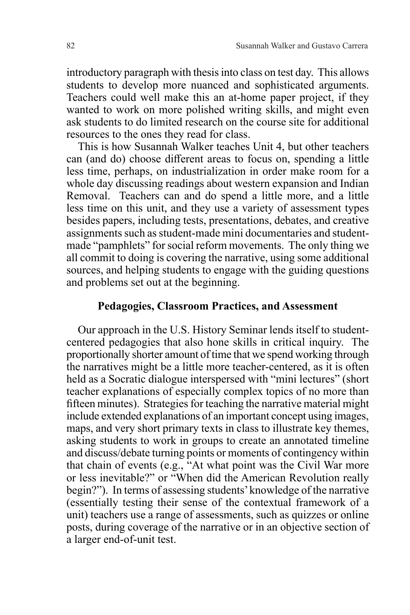introductory paragraph with thesis into class on test day. This allows students to develop more nuanced and sophisticated arguments. Teachers could well make this an at-home paper project, if they wanted to work on more polished writing skills, and might even ask students to do limited research on the course site for additional resources to the ones they read for class.

This is how Susannah Walker teaches Unit 4, but other teachers can (and do) choose different areas to focus on, spending a little less time, perhaps, on industrialization in order make room for a whole day discussing readings about western expansion and Indian Removal. Teachers can and do spend a little more, and a little less time on this unit, and they use a variety of assessment types besides papers, including tests, presentations, debates, and creative assignments such as student-made mini documentaries and studentmade "pamphlets" for social reform movements. The only thing we all commit to doing is covering the narrative, using some additional sources, and helping students to engage with the guiding questions and problems set out at the beginning.

#### **Pedagogies, Classroom Practices, and Assessment**

Our approach in the U.S. History Seminar lends itself to studentcentered pedagogies that also hone skills in critical inquiry. The proportionally shorter amount of time that we spend working through the narratives might be a little more teacher-centered, as it is often held as a Socratic dialogue interspersed with "mini lectures" (short teacher explanations of especially complex topics of no more than fifteen minutes). Strategies for teaching the narrative material might include extended explanations of an important concept using images, maps, and very short primary texts in class to illustrate key themes, asking students to work in groups to create an annotated timeline and discuss/debate turning points or moments of contingency within that chain of events (e.g., "At what point was the Civil War more or less inevitable?" or "When did the American Revolution really begin?"). In terms of assessing students' knowledge of the narrative (essentially testing their sense of the contextual framework of a unit) teachers use a range of assessments, such as quizzes or online posts, during coverage of the narrative or in an objective section of a larger end-of-unit test.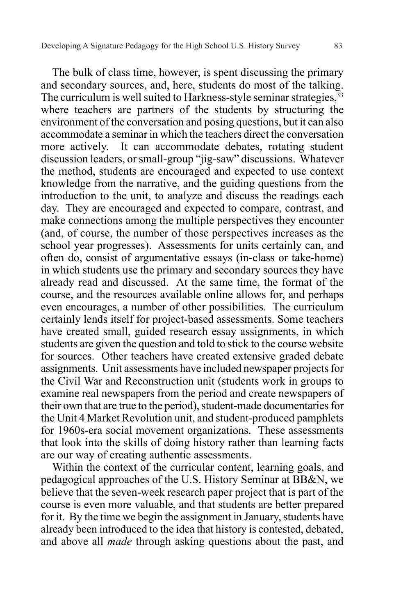The bulk of class time, however, is spent discussing the primary and secondary sources, and, here, students do most of the talking. The curriculum is well suited to Harkness-style seminar strategies, 33 where teachers are partners of the students by structuring the environment of the conversation and posing questions, but it can also accommodate a seminar in which the teachers direct the conversation more actively. It can accommodate debates, rotating student discussion leaders, or small-group "jig-saw" discussions. Whatever the method, students are encouraged and expected to use context knowledge from the narrative, and the guiding questions from the introduction to the unit, to analyze and discuss the readings each day. They are encouraged and expected to compare, contrast, and make connections among the multiple perspectives they encounter (and, of course, the number of those perspectives increases as the school year progresses). Assessments for units certainly can, and often do, consist of argumentative essays (in-class or take-home) in which students use the primary and secondary sources they have already read and discussed. At the same time, the format of the course, and the resources available online allows for, and perhaps even encourages, a number of other possibilities. The curriculum certainly lends itself for project-based assessments. Some teachers have created small, guided research essay assignments, in which students are given the question and told to stick to the course website for sources. Other teachers have created extensive graded debate assignments. Unit assessments have included newspaper projects for the Civil War and Reconstruction unit (students work in groups to examine real newspapers from the period and create newspapers of their own that are true to the period), student-made documentaries for the Unit 4 Market Revolution unit, and student-produced pamphlets for 1960s-era social movement organizations. These assessments that look into the skills of doing history rather than learning facts are our way of creating authentic assessments.

Within the context of the curricular content, learning goals, and pedagogical approaches of the U.S. History Seminar at BB&N, we believe that the seven-week research paper project that is part of the course is even more valuable, and that students are better prepared for it. By the time we begin the assignment in January, students have already been introduced to the idea that history is contested, debated, and above all *made* through asking questions about the past, and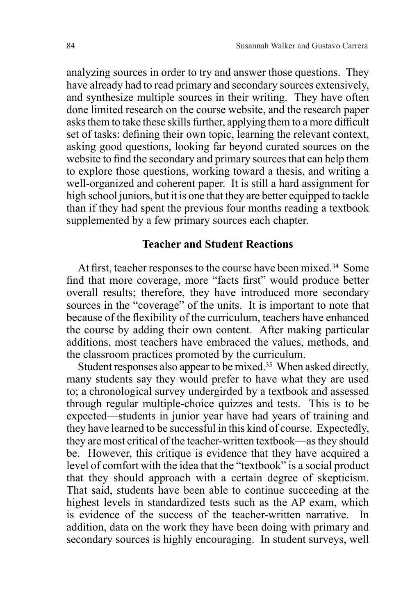analyzing sources in order to try and answer those questions. They have already had to read primary and secondary sources extensively, and synthesize multiple sources in their writing. They have often done limited research on the course website, and the research paper asks them to take these skills further, applying them to a more difficult set of tasks: defining their own topic, learning the relevant context, asking good questions, looking far beyond curated sources on the website to find the secondary and primary sources that can help them to explore those questions, working toward a thesis, and writing a well-organized and coherent paper. It is still a hard assignment for high school juniors, but it is one that they are better equipped to tackle than if they had spent the previous four months reading a textbook supplemented by a few primary sources each chapter.

### **Teacher and Student Reactions**

At first, teacher responses to the course have been mixed.<sup>34</sup> Some find that more coverage, more "facts first" would produce better overall results; therefore, they have introduced more secondary sources in the "coverage" of the units. It is important to note that because of the flexibility of the curriculum, teachers have enhanced the course by adding their own content. After making particular additions, most teachers have embraced the values, methods, and the classroom practices promoted by the curriculum.

Student responses also appear to be mixed.<sup>35</sup> When asked directly, many students say they would prefer to have what they are used to; a chronological survey undergirded by a textbook and assessed through regular multiple-choice quizzes and tests. This is to be expected—students in junior year have had years of training and they have learned to be successful in this kind of course. Expectedly, they are most critical of the teacher-written textbook—as they should be. However, this critique is evidence that they have acquired a level of comfort with the idea that the "textbook" is a social product that they should approach with a certain degree of skepticism. That said, students have been able to continue succeeding at the highest levels in standardized tests such as the AP exam, which is evidence of the success of the teacher-written narrative. In addition, data on the work they have been doing with primary and secondary sources is highly encouraging. In student surveys, well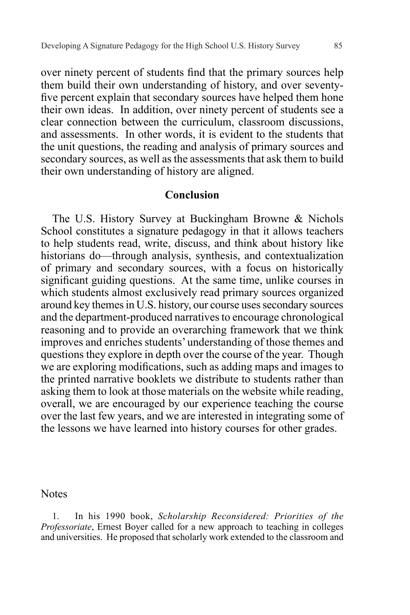over ninety percent of students find that the primary sources help them build their own understanding of history, and over seventyfive percent explain that secondary sources have helped them hone their own ideas. In addition, over ninety percent of students see a clear connection between the curriculum, classroom discussions, and assessments. In other words, it is evident to the students that the unit questions, the reading and analysis of primary sources and secondary sources, as well as the assessments that ask them to build their own understanding of history are aligned.

### **Conclusion**

The U.S. History Survey at Buckingham Browne & Nichols School constitutes a signature pedagogy in that it allows teachers to help students read, write, discuss, and think about history like historians do—through analysis, synthesis, and contextualization of primary and secondary sources, with a focus on historically significant guiding questions. At the same time, unlike courses in which students almost exclusively read primary sources organized around key themes in U.S. history, our course uses secondary sources and the department-produced narratives to encourage chronological reasoning and to provide an overarching framework that we think improves and enriches students' understanding of those themes and questions they explore in depth over the course of the year. Though we are exploring modifications, such as adding maps and images to the printed narrative booklets we distribute to students rather than asking them to look at those materials on the website while reading, overall, we are encouraged by our experience teaching the course over the last few years, and we are interested in integrating some of the lessons we have learned into history courses for other grades.

**Notes** 

1. In his 1990 book, *Scholarship Reconsidered: Priorities of the Professoriate*, Ernest Boyer called for a new approach to teaching in colleges and universities. He proposed that scholarly work extended to the classroom and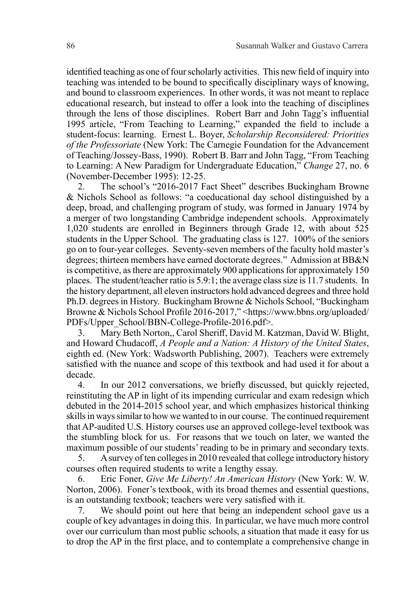identified teaching as one of four scholarly activities. This new field of inquiry into teaching was intended to be bound to specifically disciplinary ways of knowing, and bound to classroom experiences. In other words, it was not meant to replace educational research, but instead to offer a look into the teaching of disciplines through the lens of those disciplines. Robert Barr and John Tagg's influential 1995 article, "From Teaching to Learning," expanded the field to include a student-focus: learning. Ernest L. Boyer, *Scholarship Reconsidered: Priorities of the Professoriate* (New York: The Carnegie Foundation for the Advancement of Teaching/Jossey-Bass, 1990). Robert B. Barr and John Tagg, "From Teaching to Learning: A New Paradigm for Undergraduate Education," *Change* 27, no. 6 (November-December 1995): 12-25.

2. The school's "2016-2017 Fact Sheet" describes Buckingham Browne & Nichols School as follows: "a coeducational day school distinguished by a deep, broad, and challenging program of study, was formed in January 1974 by a merger of two longstanding Cambridge independent schools. Approximately 1,020 students are enrolled in Beginners through Grade 12, with about 525 students in the Upper School. The graduating class is 127. 100% of the seniors go on to four-year colleges. Seventy-seven members of the faculty hold master's degrees; thirteen members have earned doctorate degrees." Admission at BB&N is competitive, as there are approximately 900 applications for approximately 150 places. The student/teacher ratio is 5.9:1; the average class size is 11.7 students. In the history department, all eleven instructors hold advanced degrees and three hold Ph.D. degrees in History. Buckingham Browne & Nichols School, "Buckingham Browne & Nichols School Profile 2016-2017," <https://www.bbns.org/uploaded/ PDFs/Upper\_School/BBN-College-Profile-2016.pdf>.

3. Mary Beth Norton,, Carol Sheriff, David M. Katzman, David W. Blight, and Howard Chudacoff, *A People and a Nation: A History of the United States*, eighth ed. (New York: Wadsworth Publishing, 2007). Teachers were extremely satisfied with the nuance and scope of this textbook and had used it for about a decade.

4. In our 2012 conversations, we briefly discussed, but quickly rejected, reinstituting the AP in light of its impending curricular and exam redesign which debuted in the 2014-2015 school year, and which emphasizes historical thinking skills in ways similar to how we wanted to in our course. The continued requirement that AP-audited U.S. History courses use an approved college-level textbook was the stumbling block for us. For reasons that we touch on later, we wanted the maximum possible of our students' reading to be in primary and secondary texts.

5. A survey of ten colleges in 2010 revealed that college introductory history courses often required students to write a lengthy essay.

6. Eric Foner, *Give Me Liberty! An American History* (New York: W. W. Norton, 2006). Foner's textbook, with its broad themes and essential questions, is an outstanding textbook; teachers were very satisfied with it.

7. We should point out here that being an independent school gave us a couple of key advantages in doing this. In particular, we have much more control over our curriculum than most public schools, a situation that made it easy for us to drop the AP in the first place, and to contemplate a comprehensive change in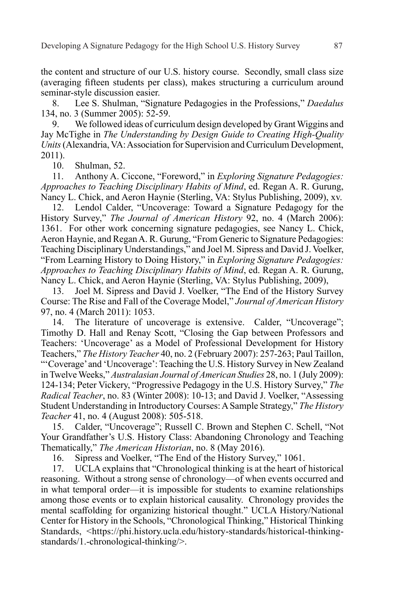the content and structure of our U.S. history course. Secondly, small class size (averaging fifteen students per class), makes structuring a curriculum around seminar-style discussion easier.

8. Lee S. Shulman, "Signature Pedagogies in the Professions," *Daedalus* 134, no. 3 (Summer 2005): 52-59.

9. We followed ideas of curriculum design developed by Grant Wiggins and Jay McTighe in *The Understanding by Design Guide to Creating High-Quality Units* (Alexandria, VA: Association for Supervision and Curriculum Development, 2011).

10. Shulman, 52.

11. Anthony A. Ciccone, "Foreword," in *Exploring Signature Pedagogies: Approaches to Teaching Disciplinary Habits of Mind*, ed. Regan A. R. Gurung, Nancy L. Chick, and Aeron Haynie (Sterling, VA: Stylus Publishing, 2009), xv.

12. Lendol Calder, "Uncoverage: Toward a Signature Pedagogy for the History Survey," *The Journal of American History* 92, no. 4 (March 2006): 1361. For other work concerning signature pedagogies, see Nancy L. Chick, Aeron Haynie, and Regan A. R. Gurung, "From Generic to Signature Pedagogies: Teaching Disciplinary Understandings," and Joel M. Sipress and David J. Voelker, "From Learning History to Doing History," in *Exploring Signature Pedagogies: Approaches to Teaching Disciplinary Habits of Mind*, ed. Regan A. R. Gurung, Nancy L. Chick, and Aeron Haynie (Sterling, VA: Stylus Publishing, 2009),

13. Joel M. Sipress and David J. Voelker, "The End of the History Survey Course: The Rise and Fall of the Coverage Model," *Journal of American History* 97, no. 4 (March 2011): 1053.

14. The literature of uncoverage is extensive. Calder, "Uncoverage"; Timothy D. Hall and Renay Scott, "Closing the Gap between Professors and Teachers: 'Uncoverage' as a Model of Professional Development for History Teachers," *The History Teacher* 40, no. 2 (February 2007): 257-263; Paul Taillon, "'Coverage' and 'Uncoverage': Teaching the U.S. History Survey in New Zealand in Twelve Weeks," *Australasian Journal of American Studies* 28, no. 1 (July 2009): 124-134; Peter Vickery, "Progressive Pedagogy in the U.S. History Survey," *The Radical Teacher*, no. 83 (Winter 2008): 10-13; and David J. Voelker, "Assessing Student Understanding in Introductory Courses: A Sample Strategy," *The History Teacher* 41, no. 4 (August 2008): 505-518.

15. Calder, "Uncoverage"; Russell C. Brown and Stephen C. Schell, "Not Your Grandfather's U.S. History Class: Abandoning Chronology and Teaching Thematically," *The American Historian*, no. 8 (May 2016).

16. Sipress and Voelker, "The End of the History Survey," 1061.

17. UCLA explains that "Chronological thinking is at the heart of historical reasoning. Without a strong sense of chronology—of when events occurred and in what temporal order—it is impossible for students to examine relationships among those events or to explain historical causality. Chronology provides the mental scaffolding for organizing historical thought." UCLA History/National Center for History in the Schools, "Chronological Thinking," Historical Thinking Standards, <https://phi.history.ucla.edu/history-standards/historical-thinkingstandards/1.-chronological-thinking/>.